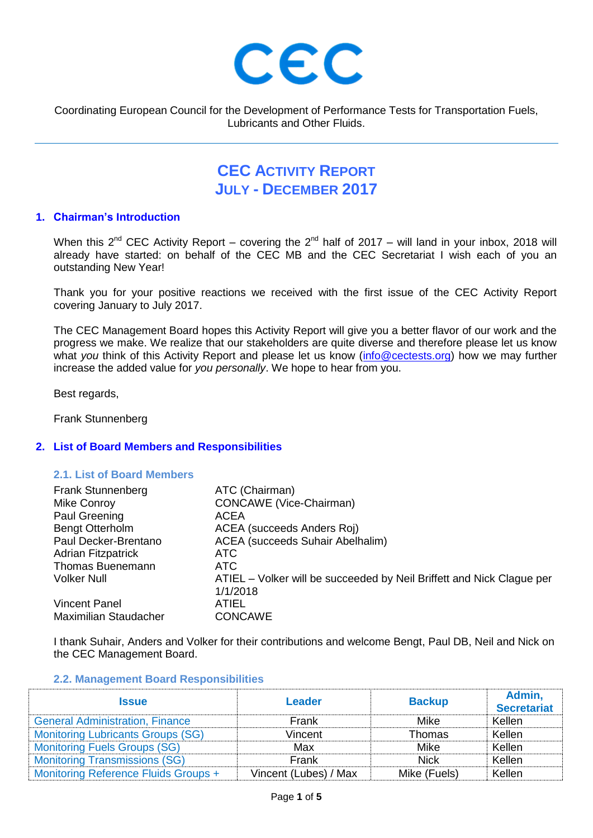

Coordinating European Council for the Development of Performance Tests for Transportation Fuels, Lubricants and Other Fluids.

# **CEC ACTIVITY REPORT JULY - DECEMBER 2017**

## **1. Chairman's Introduction**

When this 2<sup>nd</sup> CEC Activity Report – covering the 2<sup>nd</sup> half of 2017 – will land in your inbox, 2018 will already have started: on behalf of the CEC MB and the CEC Secretariat I wish each of you an outstanding New Year!

Thank you for your positive reactions we received with the first issue of the CEC Activity Report covering January to July 2017.

The CEC Management Board hopes this Activity Report will give you a better flavor of our work and the progress we make. We realize that our stakeholders are quite diverse and therefore please let us know what *you* think of this Activity Report and please let us know [\(info@cectests.org\)](mailto:info@cectests.org) how we may further increase the added value for *you personally*. We hope to hear from you.

Best regards,

Frank Stunnenberg

## **2. List of Board Members and Responsibilities**

## **2.1. List of Board Members**

| <b>Frank Stunnenberg</b>     | ATC (Chairman)                                                        |
|------------------------------|-----------------------------------------------------------------------|
| Mike Conroy                  | CONCAWE (Vice-Chairman)                                               |
| Paul Greening                | ACEA                                                                  |
| <b>Bengt Otterholm</b>       | ACEA (succeeds Anders Roj)                                            |
| Paul Decker-Brentano         | <b>ACEA</b> (succeeds Suhair Abelhalim)                               |
| <b>Adrian Fitzpatrick</b>    | ATC.                                                                  |
| Thomas Buenemann             | ATC                                                                   |
| <b>Volker Null</b>           | ATIEL – Volker will be succeeded by Neil Briffett and Nick Clague per |
|                              | 1/1/2018                                                              |
| <b>Vincent Panel</b>         | ATIEL.                                                                |
| <b>Maximilian Staudacher</b> | <b>CONCAWE</b>                                                        |

I thank Suhair, Anders and Volker for their contributions and welcome Bengt, Paul DB, Neil and Nick on the CEC Management Board.

#### **2.2. Management Board Responsibilities**

| <b>Issue</b>                             | <b>Leader</b>         | <b>Backup</b> | Admin,<br><b>Secretariat</b> |
|------------------------------------------|-----------------------|---------------|------------------------------|
| <b>General Administration, Finance</b>   | Frank                 | Mike          | Kellen                       |
| <b>Monitoring Lubricants Groups (SG)</b> | Vincent               | Thomas        | Kellen                       |
| <b>Monitoring Fuels Groups (SG)</b>      | Max                   | Mike          | Kellen                       |
| <b>Monitoring Transmissions (SG)</b>     | Frank                 | <b>Nick</b>   | Kellen                       |
| Monitoring Reference Fluids Groups +     | Vincent (Lubes) / Max | Mike (Fuels)  | Kellen                       |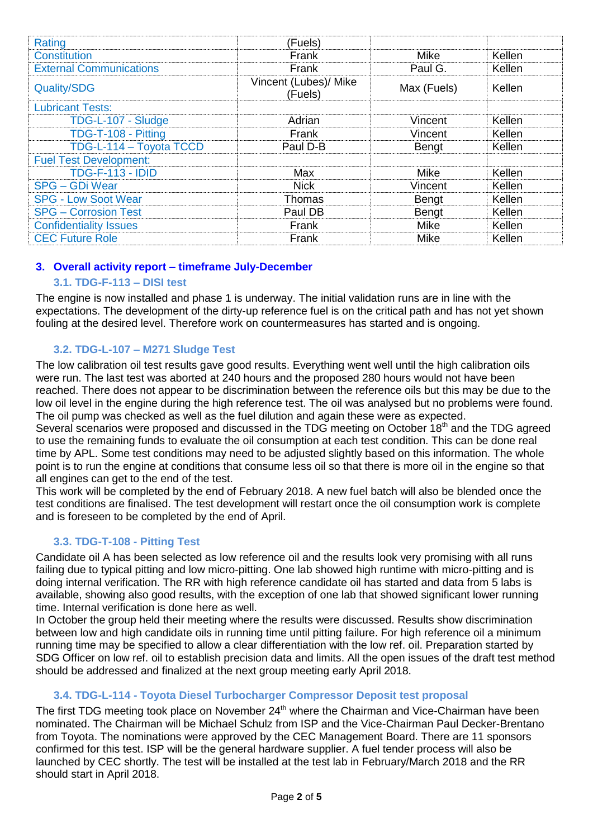| Rating                         | (Fuels)                          |              |        |
|--------------------------------|----------------------------------|--------------|--------|
| <b>Constitution</b>            | Frank                            | Mike         | Kellen |
| <b>External Communications</b> | Frank                            | Paul G.      | Kellen |
| <b>Quality/SDG</b>             | Vincent (Lubes)/ Mike<br>(Fuels) | Max (Fuels)  | Kellen |
| <b>Lubricant Tests:</b>        |                                  |              |        |
| TDG-L-107 - Sludge             | Adrian                           | Vincent      | Kellen |
| TDG-T-108 - Pitting            | Frank                            | Vincent      | Kellen |
| TDG-L-114 - Toyota TCCD        | Paul D-B                         | <b>Bengt</b> | Kellen |
| <b>Fuel Test Development:</b>  |                                  |              |        |
| <b>TDG-F-113 - IDID</b>        | Max                              | <b>Mike</b>  | Kellen |
| SPG - GDi Wear                 | <b>Nick</b>                      | Vincent      | Kellen |
| <b>SPG - Low Soot Wear</b>     | Thomas                           | Bengt        | Kellen |
| <b>SPG - Corrosion Test</b>    | Paul DB                          | <b>Bengt</b> | Kellen |
| <b>Confidentiality Issues</b>  | Frank                            | Mike         | Kellen |
| <b>CEC Future Role</b>         | Frank                            | Mike         | Kellen |

# **3. Overall activity report – timeframe July-December**

## **3.1. TDG-F-113 – DISI test**

The engine is now installed and phase 1 is underway. The initial validation runs are in line with the expectations. The development of the dirty-up reference fuel is on the critical path and has not yet shown fouling at the desired level. Therefore work on countermeasures has started and is ongoing.

# **3.2. TDG-L-107 – M271 Sludge Test**

The low calibration oil test results gave good results. Everything went well until the high calibration oils were run. The last test was aborted at 240 hours and the proposed 280 hours would not have been reached. There does not appear to be discrimination between the reference oils but this may be due to the low oil level in the engine during the high reference test. The oil was analysed but no problems were found. The oil pump was checked as well as the fuel dilution and again these were as expected.

Several scenarios were proposed and discussed in the TDG meeting on October 18<sup>th</sup> and the TDG agreed to use the remaining funds to evaluate the oil consumption at each test condition. This can be done real time by APL. Some test conditions may need to be adjusted slightly based on this information. The whole point is to run the engine at conditions that consume less oil so that there is more oil in the engine so that all engines can get to the end of the test.

This work will be completed by the end of February 2018. A new fuel batch will also be blended once the test conditions are finalised. The test development will restart once the oil consumption work is complete and is foreseen to be completed by the end of April.

## **3.3. TDG-T-108 - Pitting Test**

Candidate oil A has been selected as low reference oil and the results look very promising with all runs failing due to typical pitting and low micro-pitting. One lab showed high runtime with micro-pitting and is doing internal verification. The RR with high reference candidate oil has started and data from 5 labs is available, showing also good results, with the exception of one lab that showed significant lower running time. Internal verification is done here as well.

In October the group held their meeting where the results were discussed. Results show discrimination between low and high candidate oils in running time until pitting failure. For high reference oil a minimum running time may be specified to allow a clear differentiation with the low ref. oil. Preparation started by SDG Officer on low ref. oil to establish precision data and limits. All the open issues of the draft test method should be addressed and finalized at the next group meeting early April 2018.

## **3.4. TDG-L-114 - Toyota Diesel Turbocharger Compressor Deposit test proposal**

The first TDG meeting took place on November  $24<sup>th</sup>$  where the Chairman and Vice-Chairman have been nominated. The Chairman will be Michael Schulz from ISP and the Vice-Chairman Paul Decker-Brentano from Toyota. The nominations were approved by the CEC Management Board. There are 11 sponsors confirmed for this test. ISP will be the general hardware supplier. A fuel tender process will also be launched by CEC shortly. The test will be installed at the test lab in February/March 2018 and the RR should start in April 2018.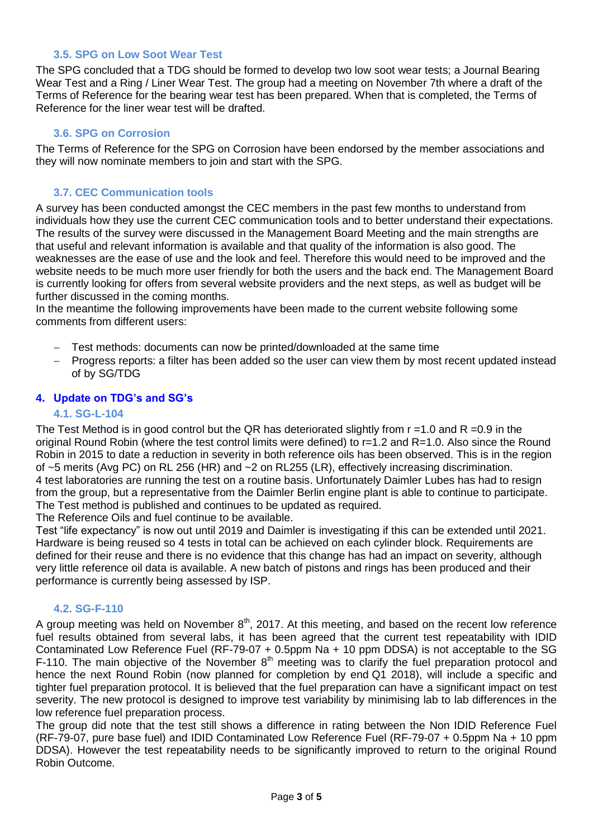#### **3.5. SPG on Low Soot Wear Test**

The SPG concluded that a TDG should be formed to develop two low soot wear tests; a Journal Bearing Wear Test and a Ring / Liner Wear Test. The group had a meeting on November 7th where a draft of the Terms of Reference for the bearing wear test has been prepared. When that is completed, the Terms of Reference for the liner wear test will be drafted.

## **3.6. SPG on Corrosion**

The Terms of Reference for the SPG on Corrosion have been endorsed by the member associations and they will now nominate members to join and start with the SPG.

## **3.7. CEC Communication tools**

A survey has been conducted amongst the CEC members in the past few months to understand from individuals how they use the current CEC communication tools and to better understand their expectations. The results of the survey were discussed in the Management Board Meeting and the main strengths are that useful and relevant information is available and that quality of the information is also good. The weaknesses are the ease of use and the look and feel. Therefore this would need to be improved and the website needs to be much more user friendly for both the users and the back end. The Management Board is currently looking for offers from several website providers and the next steps, as well as budget will be further discussed in the coming months.

In the meantime the following improvements have been made to the current website following some comments from different users:

- Test methods: documents can now be printed/downloaded at the same time
- Progress reports: a filter has been added so the user can view them by most recent updated instead of by SG/TDG

#### **4. Update on TDG's and SG's**

#### **4.1. SG-L-104**

The Test Method is in good control but the QR has deteriorated slightly from  $r = 1.0$  and R = 0.9 in the original Round Robin (where the test control limits were defined) to r=1.2 and R=1.0. Also since the Round Robin in 2015 to date a reduction in severity in both reference oils has been observed. This is in the region of ~5 merits (Avg PC) on RL 256 (HR) and ~2 on RL255 (LR), effectively increasing discrimination. 4 test laboratories are running the test on a routine basis. Unfortunately Daimler Lubes has had to resign from the group, but a representative from the Daimler Berlin engine plant is able to continue to participate. The Test method is published and continues to be updated as required.

The Reference Oils and fuel continue to be available.

Test "life expectancy" is now out until 2019 and Daimler is investigating if this can be extended until 2021. Hardware is being reused so 4 tests in total can be achieved on each cylinder block. Requirements are defined for their reuse and there is no evidence that this change has had an impact on severity, although very little reference oil data is available. A new batch of pistons and rings has been produced and their performance is currently being assessed by ISP.

#### **4.2. SG-F-110**

A group meeting was held on November  $8<sup>th</sup>$ , 2017. At this meeting, and based on the recent low reference fuel results obtained from several labs, it has been agreed that the current test repeatability with IDID Contaminated Low Reference Fuel (RF-79-07 + 0.5ppm Na + 10 ppm DDSA) is not acceptable to the SG F-110. The main objective of the November  $8<sup>th</sup>$  meeting was to clarify the fuel preparation protocol and hence the next Round Robin (now planned for completion by end Q1 2018), will include a specific and tighter fuel preparation protocol. It is believed that the fuel preparation can have a significant impact on test severity. The new protocol is designed to improve test variability by minimising lab to lab differences in the low reference fuel preparation process.

The group did note that the test still shows a difference in rating between the Non IDID Reference Fuel (RF-79-07, pure base fuel) and IDID Contaminated Low Reference Fuel (RF-79-07 + 0.5ppm Na + 10 ppm DDSA). However the test repeatability needs to be significantly improved to return to the original Round Robin Outcome.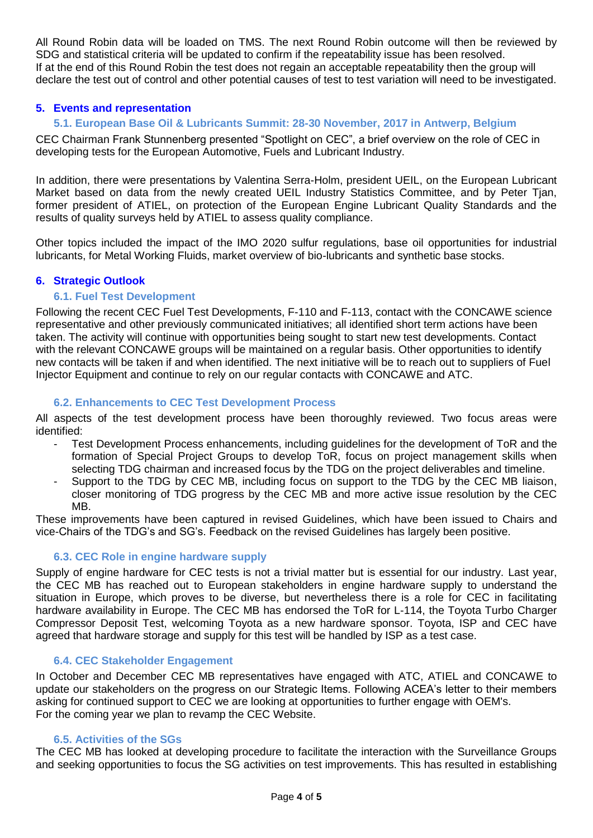All Round Robin data will be loaded on TMS. The next Round Robin outcome will then be reviewed by SDG and statistical criteria will be updated to confirm if the repeatability issue has been resolved. If at the end of this Round Robin the test does not regain an acceptable repeatability then the group will declare the test out of control and other potential causes of test to test variation will need to be investigated.

## **5. Events and representation**

## **5.1. European Base Oil & Lubricants Summit: 28-30 November, 2017 in Antwerp, Belgium**

CEC Chairman Frank Stunnenberg presented "Spotlight on CEC", a brief overview on the role of CEC in developing tests for the European Automotive, Fuels and Lubricant Industry.

In addition, there were presentations by Valentina Serra-Holm, president UEIL, on the European Lubricant Market based on data from the newly created UEIL Industry Statistics Committee, and by Peter Tjan, former president of ATIEL, on protection of the European Engine Lubricant Quality Standards and the results of quality surveys held by ATIEL to assess quality compliance.

Other topics included the impact of the IMO 2020 sulfur regulations, base oil opportunities for industrial lubricants, for Metal Working Fluids, market overview of bio-lubricants and synthetic base stocks.

## **6. Strategic Outlook**

## **6.1. Fuel Test Development**

Following the recent CEC Fuel Test Developments, F-110 and F-113, contact with the CONCAWE science representative and other previously communicated initiatives; all identified short term actions have been taken. The activity will continue with opportunities being sought to start new test developments. Contact with the relevant CONCAWE groups will be maintained on a regular basis. Other opportunities to identify new contacts will be taken if and when identified. The next initiative will be to reach out to suppliers of Fuel Injector Equipment and continue to rely on our regular contacts with CONCAWE and ATC.

#### **6.2. Enhancements to CEC Test Development Process**

All aspects of the test development process have been thoroughly reviewed. Two focus areas were identified:

- Test Development Process enhancements, including guidelines for the development of ToR and the formation of Special Project Groups to develop ToR, focus on project management skills when selecting TDG chairman and increased focus by the TDG on the project deliverables and timeline.
- Support to the TDG by CEC MB, including focus on support to the TDG by the CEC MB liaison, closer monitoring of TDG progress by the CEC MB and more active issue resolution by the CEC MB.

These improvements have been captured in revised Guidelines, which have been issued to Chairs and vice-Chairs of the TDG's and SG's. Feedback on the revised Guidelines has largely been positive.

## **6.3. CEC Role in engine hardware supply**

Supply of engine hardware for CEC tests is not a trivial matter but is essential for our industry. Last year, the CEC MB has reached out to European stakeholders in engine hardware supply to understand the situation in Europe, which proves to be diverse, but nevertheless there is a role for CEC in facilitating hardware availability in Europe. The CEC MB has endorsed the ToR for L-114, the Toyota Turbo Charger Compressor Deposit Test, welcoming Toyota as a new hardware sponsor. Toyota, ISP and CEC have agreed that hardware storage and supply for this test will be handled by ISP as a test case.

## **6.4. CEC Stakeholder Engagement**

In October and December CEC MB representatives have engaged with ATC, ATIEL and CONCAWE to update our stakeholders on the progress on our Strategic Items. Following ACEA's letter to their members asking for continued support to CEC we are looking at opportunities to further engage with OEM's. For the coming year we plan to revamp the CEC Website.

#### **6.5. Activities of the SGs**

The CEC MB has looked at developing procedure to facilitate the interaction with the Surveillance Groups and seeking opportunities to focus the SG activities on test improvements. This has resulted in establishing